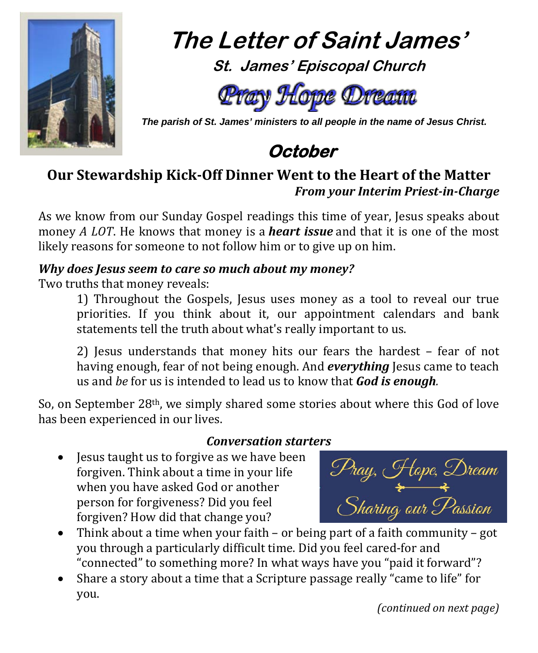

**The Letter of Saint James' St. James' Episcopal Church**



 *The parish of St. James' ministers to all people in the name of Jesus Christ.*



## **Our Stewardship Kick-Off Dinner Went to the Heart of the Matter** *From your Interim Priest-in-Charge*

As we know from our Sunday Gospel readings this time of year, Jesus speaks about money *A LOT*. He knows that money is a *heart issue* and that it is one of the most likely reasons for someone to not follow him or to give up on him.

#### *Why does Jesus seem to care so much about my money?*

Two truths that money reveals:

1) Throughout the Gospels, Jesus uses money as a tool to reveal our true priorities. If you think about it, our appointment calendars and bank statements tell the truth about what's really important to us.

2) Jesus understands that money hits our fears the hardest – fear of not having enough, fear of not being enough. And *everything* Jesus came to teach us and *be* for us is intended to lead us to know that *God is enough.* 

So, on September 28th, we simply shared some stories about where this God of love has been experienced in our lives.

#### *Conversation starters*

• Jesus taught us to forgive as we have been forgiven. Think about a time in your life when you have asked God or another person for forgiveness? Did you feel forgiven? How did that change you?

Pray, Hope, Dream<br>Sharing our Passion

- Think about a time when your faith or being part of a faith community got you through a particularly difficult time. Did you feel cared-for and "connected" to something more? In what ways have you "paid it forward"?
- Share a story about a time that a Scripture passage really "came to life" for you.

*(continued on next page)*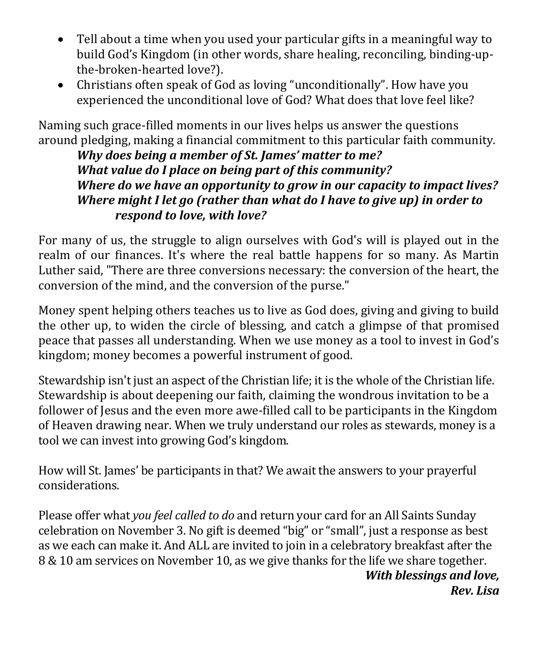- Tell about a time when you used your particular gifts in a meaningful way to build God's Kingdom (in other words, share healing, reconciling, binding-upthe-broken-hearted love?).
- Christians often speak of God as loving "unconditionally". How have you experienced the unconditional love of God? What does that love feel like?

Naming such grace-filled moments in our lives helps us answer the questions around pledging, making a financial commitment to this particular faith community.

*Why does being a member of St. James' matter to me? What value do I place on being part of this community? Where do we have an opportunity to grow in our capacity to impact lives? Where might I let go (rather than what do I have to give up) in order to respond to love, with love?*

For many of us, the struggle to align ourselves with God's will is played out in the realm of our finances. It's where the real battle happens for so many. As Martin Luther said, "There are three conversions necessary: the conversion of the heart, the conversion of the mind, and the conversion of the purse."

Money spent helping others teaches us to live as God does, giving and giving to build the other up, to widen the circle of blessing, and catch a glimpse of that promised peace that passes all understanding. When we use money as a tool to invest in God's kingdom; money becomes a powerful instrument of good.

Stewardship isn't just an aspect of the Christian life; it is the whole of the Christian life. Stewardship is about deepening our faith, claiming the wondrous invitation to be a follower of Jesus and the even more awe-filled call to be participants in the Kingdom of Heaven drawing near. When we truly understand our roles as stewards, money is a tool we can invest into growing God's kingdom.

How will St. James' be participants in that? We await the answers to your prayerful considerations.

Please offer what *you feel called to do* and return your card for an All Saints Sunday celebration on November 3. No gift is deemed "big" or "small", just a response as best as we each can make it. And ALL are invited to join in a celebratory breakfast after the 8 & 10 am services on November 10, as we give thanks for the life we share together. *With blessings and love,*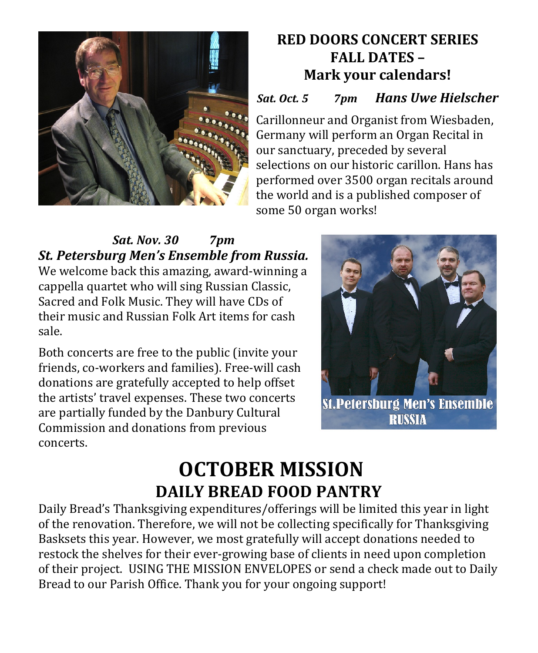

## **RED DOORS CONCERT SERIES FALL DATES – Mark your calendars!**

### *Sat. Oct. 5 7pm Hans Uwe Hielscher*

Carillonneur and Organist from Wiesbaden, Germany will perform an Organ Recital in our sanctuary, preceded by several selections on our historic carillon. Hans has performed over 3500 organ recitals around the world and is a published composer of some 50 organ works!

## *Sat. Nov. 30 7pm St. Petersburg Men's Ensemble from Russia.*

We welcome back this amazing, award-winning a cappella quartet who will sing Russian Classic, Sacred and Folk Music. They will have CDs of their music and Russian Folk Art items for cash sale.

Both concerts are free to the public (invite your friends, co-workers and families). Free-will cash donations are gratefully accepted to help offset the artists' travel expenses. These two concerts are partially funded by the Danbury Cultural Commission and donations from previous concerts.

![](_page_2_Picture_7.jpeg)

# **OCTOBER MISSION DAILY BREAD FOOD PANTRY**

Daily Bread's Thanksgiving expenditures/offerings will be limited this year in light of the renovation. Therefore, we will not be collecting specifically for Thanksgiving Basksets this year. However, we most gratefully will accept donations needed to restock the shelves for their ever-growing base of clients in need upon completion of their project. USING THE MISSION ENVELOPES or send a check made out to Daily Bread to our Parish Office. Thank you for your ongoing support!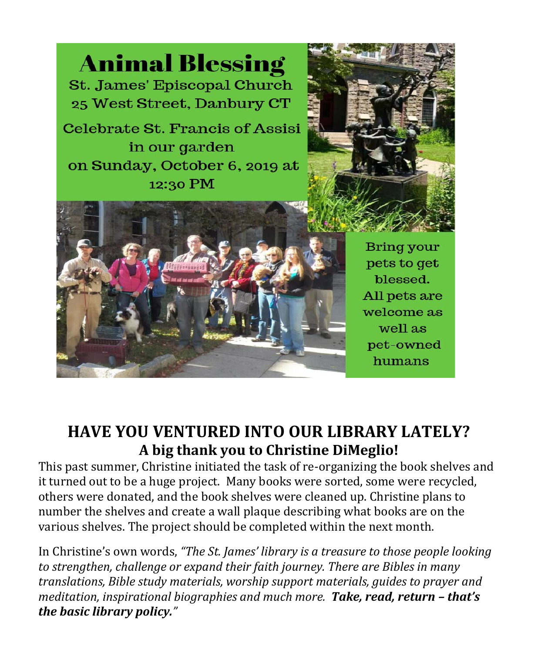![](_page_3_Picture_0.jpeg)

## **HAVE YOU VENTURED INTO OUR LIBRARY LATELY? A big thank you to Christine DiMeglio!**

This past summer, Christine initiated the task of re-organizing the book shelves and it turned out to be a huge project. Many books were sorted, some were recycled, others were donated, and the book shelves were cleaned up. Christine plans to number the shelves and create a wall plaque describing what books are on the various shelves. The project should be completed within the next month.

In Christine's own words, *"The St. James' library is a treasure to those people looking to strengthen, challenge or expand their faith journey. There are Bibles in many translations, Bible study materials, worship support materials, guides to prayer and meditation, inspirational biographies and much more. Take, read, return – that's the basic library policy."*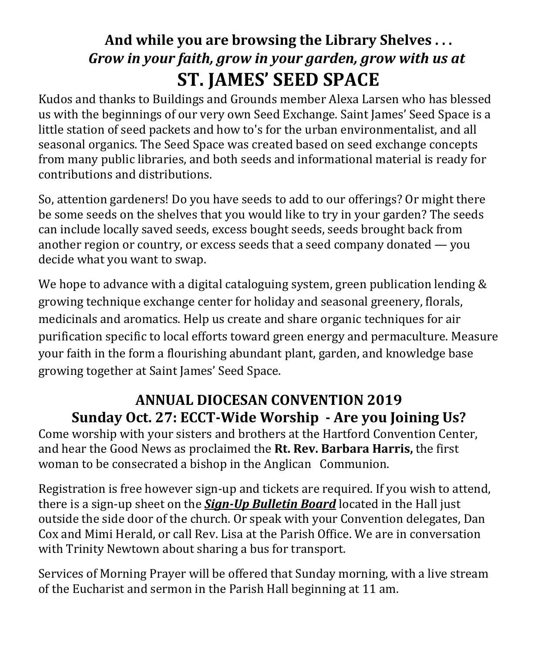# **And while you are browsing the Library Shelves . . .**  *Grow in your faith, grow in your garden, grow with us at* **ST. JAMES' SEED SPACE**

Kudos and thanks to Buildings and Grounds member Alexa Larsen who has blessed us with the beginnings of our very own Seed Exchange. Saint James' Seed Space is a little station of seed packets and how to's for the urban environmentalist, and all seasonal organics. The Seed Space was created based on seed exchange concepts from many public libraries, and both seeds and informational material is ready for contributions and distributions.

So, attention gardeners! Do you have seeds to add to our offerings? Or might there be some seeds on the shelves that you would like to try in your garden? The seeds can include locally saved seeds, excess bought seeds, seeds brought back from another region or country, or excess seeds that a seed company donated — you decide what you want to swap.

We hope to advance with a digital cataloguing system, green publication lending & growing technique exchange center for holiday and seasonal greenery, florals, medicinals and aromatics. Help us create and share organic techniques for air purification specific to local efforts toward green energy and permaculture. Measure your faith in the form a flourishing abundant plant, garden, and knowledge base growing together at Saint James' Seed Space.

## **ANNUAL DIOCESAN CONVENTION 2019 Sunday Oct. 27: ECCT-Wide Worship - Are you Joining Us?**

Come worship with your sisters and brothers at the Hartford Convention Center, and hear the Good News as proclaimed the **Rt. Rev. Barbara Harris,** the first woman to be consecrated a bishop in the Anglican Communion.

Registration is free however sign-up and tickets are required. If you wish to attend, there is a sign-up sheet on the *Sign-Up Bulletin Board* located in the Hall just outside the side door of the church. Or speak with your Convention delegates, Dan Cox and Mimi Herald, or call Rev. Lisa at the Parish Office. We are in conversation with Trinity Newtown about sharing a bus for transport.

Services of Morning Prayer will be offered that Sunday morning, with a live stream of the Eucharist and sermon in the Parish Hall beginning at 11 am.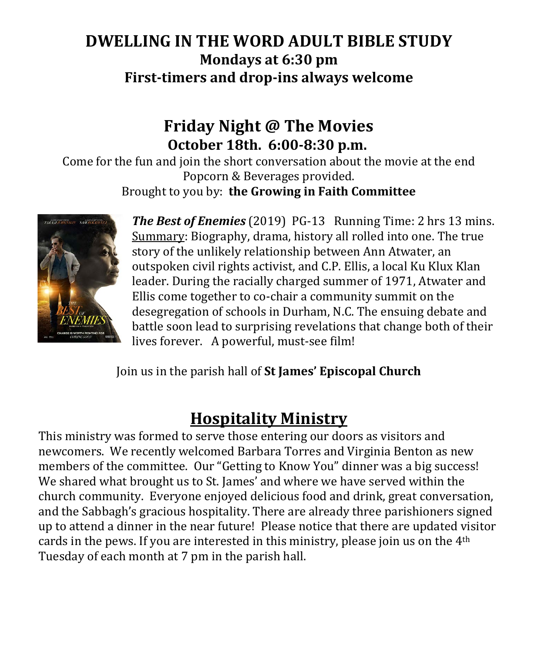## **DWELLING IN THE WORD ADULT BIBLE STUDY Mondays at 6:30 pm First-timers and drop-ins always welcome**

## **Friday Night @ The Movies October 18th. 6:00-8:30 p.m.**

Come for the fun and join the short conversation about the movie at the end Popcorn & Beverages provided. Brought to you by: **the Growing in Faith Committee**

![](_page_5_Picture_3.jpeg)

*The Best of Enemies* (2019) PG-13 Running Time: 2 hrs 13 mins. Summary: Biography, drama, history all rolled into one. The true story of the unlikely relationship between Ann Atwater, an outspoken civil rights activist, and C.P. Ellis, a local Ku Klux Klan leader. During the racially charged summer of 1971, Atwater and Ellis come together to co-chair a community summit on the desegregation of schools in Durham, N.C. The ensuing debate and battle soon lead to surprising revelations that change both of their lives forever. A powerful, must-see film!

Join us in the parish hall of **St James' Episcopal Church**

# **Hospitality Ministry**

This ministry was formed to serve those entering our doors as visitors and newcomers. We recently welcomed Barbara Torres and Virginia Benton as new members of the committee. Our "Getting to Know You" dinner was a big success! We shared what brought us to St. James' and where we have served within the church community. Everyone enjoyed delicious food and drink, great conversation, and the Sabbagh's gracious hospitality. There are already three parishioners signed up to attend a dinner in the near future! Please notice that there are updated visitor cards in the pews. If you are interested in this ministry, please join us on the 4th Tuesday of each month at 7 pm in the parish hall.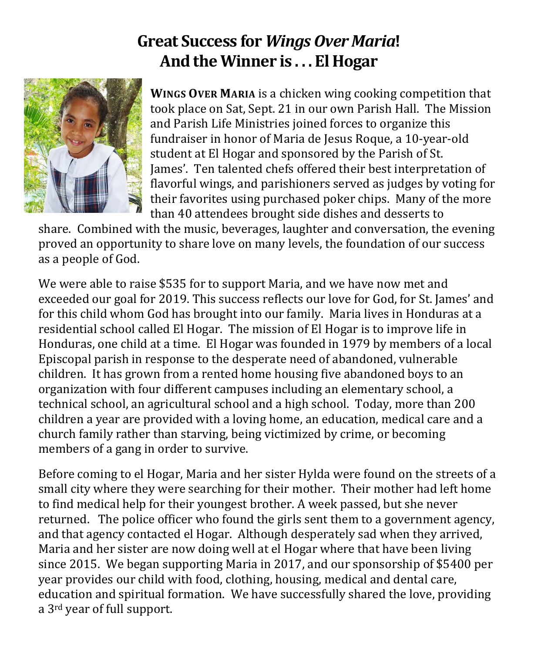## **Great Success for** *Wings Over Maria***! And the Winner is . . . El Hogar**

![](_page_6_Picture_1.jpeg)

**WINGS OVER MARIA** is a chicken wing cooking competition that took place on Sat, Sept. 21 in our own Parish Hall. The Mission and Parish Life Ministries joined forces to organize this fundraiser in honor of Maria de Jesus Roque, a 10-year-old student at El Hogar and sponsored by the Parish of St. James'. Ten talented chefs offered their best interpretation of flavorful wings, and parishioners served as judges by voting for their favorites using purchased poker chips. Many of the more than 40 attendees brought side dishes and desserts to

share. Combined with the music, beverages, laughter and conversation, the evening proved an opportunity to share love on many levels, the foundation of our success as a people of God.

We were able to raise \$535 for to support Maria, and we have now met and exceeded our goal for 2019. This success reflects our love for God, for St. James' and for this child whom God has brought into our family. Maria lives in Honduras at a residential school called El Hogar. The mission of El Hogar is to improve life in Honduras, one child at a time. El Hogar was founded in 1979 by members of a local Episcopal parish in response to the desperate need of abandoned, vulnerable children. It has grown from a rented home housing five abandoned boys to an organization with four different campuses including an elementary school, a technical school, an agricultural school and a high school. Today, more than 200 children a year are provided with a loving home, an education, medical care and a church family rather than starving, being victimized by crime, or becoming members of a gang in order to survive.

Before coming to el Hogar, Maria and her sister Hylda were found on the streets of a small city where they were searching for their mother. Their mother had left home to find medical help for their youngest brother. A week passed, but she never returned. The police officer who found the girls sent them to a government agency, and that agency contacted el Hogar. Although desperately sad when they arrived, Maria and her sister are now doing well at el Hogar where that have been living since 2015. We began supporting Maria in 2017, and our sponsorship of \$5400 per year provides our child with food, clothing, housing, medical and dental care, education and spiritual formation. We have successfully shared the love, providing a 3rd year of full support.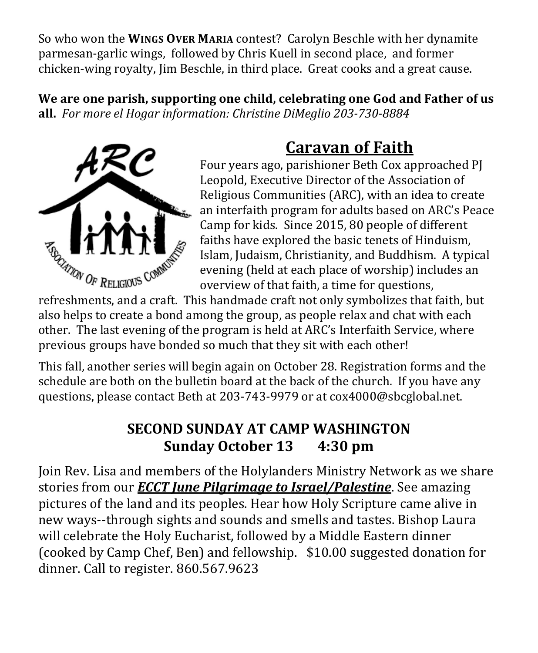So who won the **WINGS OVER MARIA** contest? Carolyn Beschle with her dynamite parmesan-garlic wings, followed by Chris Kuell in second place, and former chicken-wing royalty, Jim Beschle, in third place. Great cooks and a great cause.

**We are one parish, supporting one child, celebrating one God and Father of us all.** *For more el Hogar information: Christine DiMeglio 203-730-8884*

![](_page_7_Picture_2.jpeg)

# **Caravan of Faith**

Four years ago, parishioner Beth Cox approached PJ Leopold, Executive Director of the Association of Religious Communities (ARC), with an idea to create an interfaith program for adults based on ARC's Peace Camp for kids. Since 2015, 80 people of different faiths have explored the basic tenets of Hinduism, Islam, Judaism, Christianity, and Buddhism. A typical evening (held at each place of worship) includes an overview of that faith, a time for questions,

refreshments, and a craft. This handmade craft not only symbolizes that faith, but also helps to create a bond among the group, as people relax and chat with each other. The last evening of the program is held at ARC's Interfaith Service, where previous groups have bonded so much that they sit with each other!

This fall, another series will begin again on October 28. Registration forms and the schedule are both on the bulletin board at the back of the church. If you have any questions, please contact Beth at 203-743-9979 or at cox4000@sbcglobal.net.

## **SECOND SUNDAY AT CAMP WASHINGTON Sunday October 13 4:30 pm**

Join Rev. Lisa and members of the Holylanders Ministry Network as we share stories from our *ECCT June Pilgrimage to Israel/Palestine*. See amazing pictures of the land and its peoples. Hear how Holy Scripture came alive in new ways--through sights and sounds and smells and tastes. Bishop Laura will celebrate the Holy Eucharist, followed by a Middle Eastern dinner (cooked by Camp Chef, Ben) and fellowship. \$10.00 suggested donation for dinner. Call to register. 860.567.9623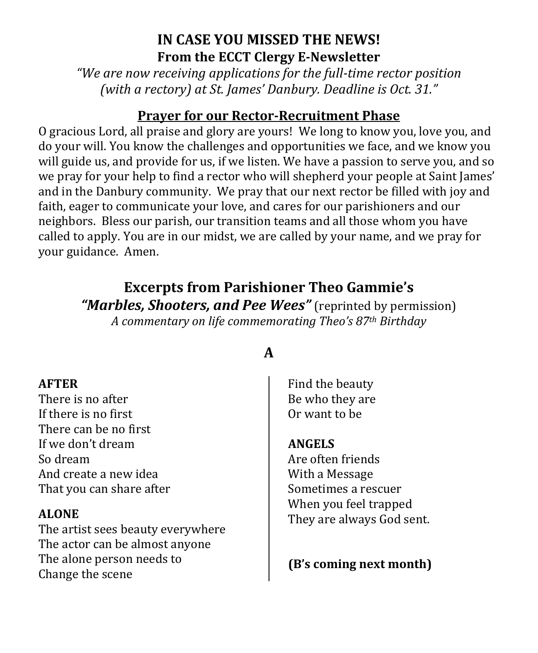## **IN CASE YOU MISSED THE NEWS! From the ECCT Clergy E-Newsletter**

*"We are now receiving applications for the full-time rector position (with a rectory) at St. James' Danbury. Deadline is Oct. 31."*

#### **Prayer for our Rector-Recruitment Phase**

O gracious Lord, all praise and glory are yours! We long to know you, love you, and do your will. You know the challenges and opportunities we face, and we know you will guide us, and provide for us, if we listen. We have a passion to serve you, and so we pray for your help to find a rector who will shepherd your people at Saint James' and in the Danbury community. We pray that our next rector be filled with joy and faith, eager to communicate your love, and cares for our parishioners and our neighbors. Bless our parish, our transition teams and all those whom you have called to apply. You are in our midst, we are called by your name, and we pray for your guidance. Amen.

# **Excerpts from Parishioner Theo Gammie's**

*"Marbles, Shooters, and Pee Wees"* (reprinted by permission) *A commentary on life commemorating Theo's 87th Birthday*

#### **AFTER**

There is no after If there is no first There can be no first If we don't dream So dream And create a new idea That you can share after

#### **ALONE**

The artist sees beauty everywhere The actor can be almost anyone The alone person needs to Change the scene

## **A**

Find the beauty Be who they are Or want to be

#### **ANGELS**

Are often friends With a Message Sometimes a rescuer When you feel trapped They are always God sent.

### **(B's coming next month)**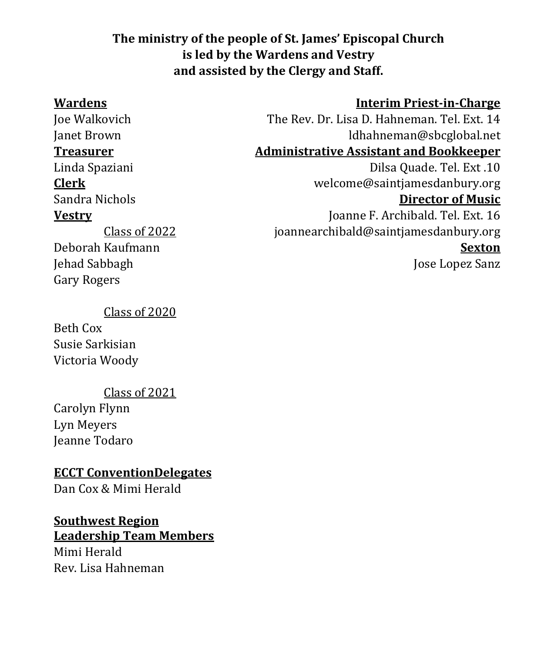#### **The ministry of the people of St. James' Episcopal Church is led by the Wardens and Vestry and assisted by the Clergy and Staff.**

Deborah Kaufmann

Jehad Sabbagh Gary Rogers

#### **Wardens Interim Priest-in-Charge**

Joe Walkovich The Rev. Dr. Lisa D. Hahneman. Tel. Ext. 14<br>Idhahneman@sbcglobal.net Janet Brown ldhahneman@sbcglobal.net **Administrative Assistant and Bookkeeper** 

Linda Spaziani Dilsa Quade. Tel. Ext .10<br>
Clerk velcome@saintiamesdanbury.org **Clerk** welcome@saintjamesdanbury.org

#### **Director of Music**

**Vestry** Joanne F. Archibald. Tel. Ext. 16 [joannearchibald@saintjamesdanbury.org](mailto:joannearchibald@saintjamesdanbury.org) **Sexton**

Jose Lopez Sanz

Class of 2020

Class of 2022

Beth Cox Susie Sarkisian Victoria Woody

Class of 2021

Carolyn Flynn Lyn Meyers Jeanne Todaro

#### **ECCT ConventionDelegates**

Dan Cox & Mimi Herald

# **Southwest Region**

**Leadership Team Members** Mimi Herald Rev. Lisa Hahneman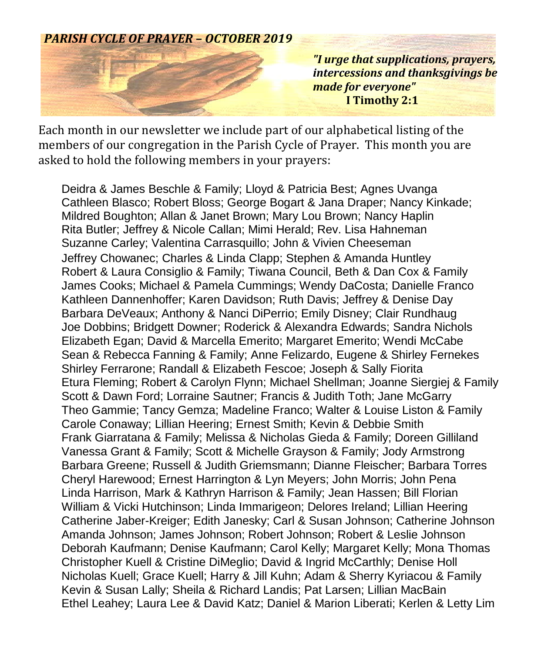#### *PARISH CYCLE OF PRAYER – OCTOBER 2019*

![](_page_10_Picture_1.jpeg)

*"I urge that supplications, prayers, intercessions and thanksgivings be made for everyone"*  **I Timothy 2:1**

Each month in our newsletter we include part of our alphabetical listing of the members of our congregation in the Parish Cycle of Prayer. This month you are asked to hold the following members in your prayers:

Deidra & James Beschle & Family; Lloyd & Patricia Best; Agnes Uvanga Cathleen Blasco; Robert Bloss; George Bogart & Jana Draper; Nancy Kinkade; Mildred Boughton; Allan & Janet Brown; Mary Lou Brown; Nancy Haplin Rita Butler; Jeffrey & Nicole Callan; Mimi Herald; Rev. Lisa Hahneman Suzanne Carley; Valentina Carrasquillo; John & Vivien Cheeseman Jeffrey Chowanec; Charles & Linda Clapp; Stephen & Amanda Huntley Robert & Laura Consiglio & Family; Tiwana Council, Beth & Dan Cox & Family James Cooks; Michael & Pamela Cummings; Wendy DaCosta; Danielle Franco Kathleen Dannenhoffer; Karen Davidson; Ruth Davis; Jeffrey & Denise Day Barbara DeVeaux; Anthony & Nanci DiPerrio; Emily Disney; Clair Rundhaug Joe Dobbins; Bridgett Downer; Roderick & Alexandra Edwards; Sandra Nichols Elizabeth Egan; David & Marcella Emerito; Margaret Emerito; Wendi McCabe Sean & Rebecca Fanning & Family; Anne Felizardo, Eugene & Shirley Fernekes Shirley Ferrarone; Randall & Elizabeth Fescoe; Joseph & Sally Fiorita Etura Fleming; Robert & Carolyn Flynn; Michael Shellman; Joanne Siergiej & Family Scott & Dawn Ford; Lorraine Sautner; Francis & Judith Toth; Jane McGarry Theo Gammie; Tancy Gemza; Madeline Franco; Walter & Louise Liston & Family Carole Conaway; Lillian Heering; Ernest Smith; Kevin & Debbie Smith Frank Giarratana & Family; Melissa & Nicholas Gieda & Family; Doreen Gilliland Vanessa Grant & Family; Scott & Michelle Grayson & Family; Jody Armstrong Barbara Greene; Russell & Judith Griemsmann; Dianne Fleischer; Barbara Torres Cheryl Harewood; Ernest Harrington & Lyn Meyers; John Morris; John Pena Linda Harrison, Mark & Kathryn Harrison & Family; Jean Hassen; Bill Florian William & Vicki Hutchinson; Linda Immarigeon; Delores Ireland; Lillian Heering Catherine Jaber-Kreiger; Edith Janesky; Carl & Susan Johnson; Catherine Johnson Amanda Johnson; James Johnson; Robert Johnson; Robert & Leslie Johnson Deborah Kaufmann; Denise Kaufmann; Carol Kelly; Margaret Kelly; Mona Thomas Christopher Kuell & Cristine DiMeglio; David & Ingrid McCarthly; Denise Holl Nicholas Kuell; Grace Kuell; Harry & Jill Kuhn; Adam & Sherry Kyriacou & Family Kevin & Susan Lally; Sheila & Richard Landis; Pat Larsen; Lillian MacBain Ethel Leahey; Laura Lee & David Katz; Daniel & Marion Liberati; Kerlen & Letty Lim